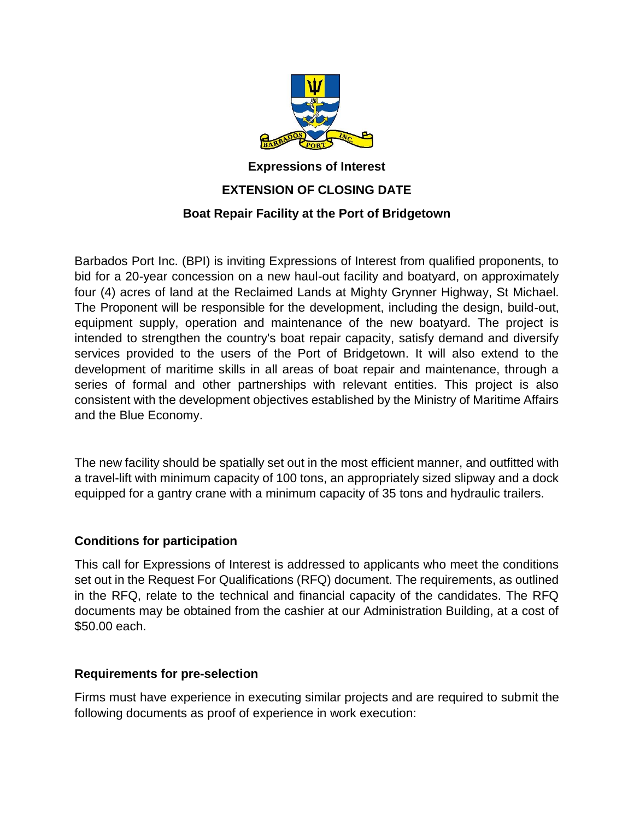

## **Expressions of Interest EXTENSION OF CLOSING DATE Boat Repair Facility at the Port of Bridgetown**

Barbados Port Inc. (BPI) is inviting Expressions of Interest from qualified proponents, to bid for a 20-year concession on a new haul-out facility and boatyard, on approximately four (4) acres of land at the Reclaimed Lands at Mighty Grynner Highway, St Michael. The Proponent will be responsible for the development, including the design, build-out, equipment supply, operation and maintenance of the new boatyard. The project is intended to strengthen the country's boat repair capacity, satisfy demand and diversify services provided to the users of the Port of Bridgetown. It will also extend to the development of maritime skills in all areas of boat repair and maintenance, through a series of formal and other partnerships with relevant entities. This project is also consistent with the development objectives established by the Ministry of Maritime Affairs and the Blue Economy.

The new facility should be spatially set out in the most efficient manner, and outfitted with a travel-lift with minimum capacity of 100 tons, an appropriately sized slipway and a dock equipped for a gantry crane with a minimum capacity of 35 tons and hydraulic trailers.

## **Conditions for participation**

This call for Expressions of Interest is addressed to applicants who meet the conditions set out in the Request For Qualifications (RFQ) document. The requirements, as outlined in the RFQ, relate to the technical and financial capacity of the candidates. The RFQ documents may be obtained from the cashier at our Administration Building, at a cost of \$50.00 each.

## **Requirements for pre-selection**

Firms must have experience in executing similar projects and are required to submit the following documents as proof of experience in work execution: